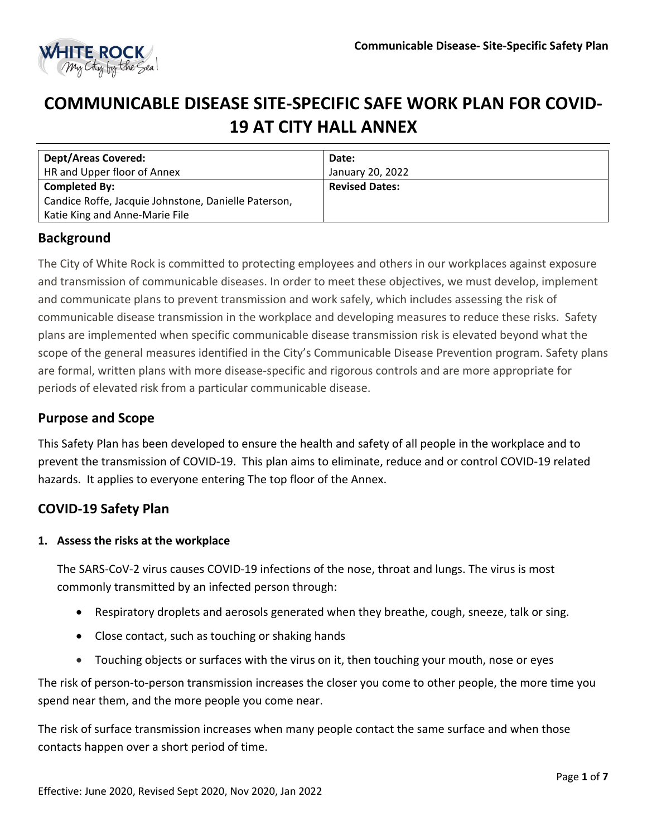

# **COMMUNICABLE DISEASE SITE-SPECIFIC SAFE WORK PLAN FOR COVID-19 AT CITY HALL ANNEX**

| <b>Dept/Areas Covered:</b>                           | Date:                 |
|------------------------------------------------------|-----------------------|
| HR and Upper floor of Annex                          | January 20, 2022      |
| <b>Completed By:</b>                                 | <b>Revised Dates:</b> |
| Candice Roffe, Jacquie Johnstone, Danielle Paterson, |                       |
| Katie King and Anne-Marie File                       |                       |

## **Background**

The City of White Rock is committed to protecting employees and others in our workplaces against exposure and transmission of communicable diseases. In order to meet these objectives, we must develop, implement and communicate plans to prevent transmission and work safely, which includes assessing the risk of communicable disease transmission in the workplace and developing measures to reduce these risks. Safety plans are implemented when specific communicable disease transmission risk is elevated beyond what the scope of the general measures identified in the City's Communicable Disease Prevention program. Safety plans are formal, written plans with more disease-specific and rigorous controls and are more appropriate for periods of elevated risk from a particular communicable disease.

## **Purpose and Scope**

This Safety Plan has been developed to ensure the health and safety of all people in the workplace and to prevent the transmission of COVID-19. This plan aims to eliminate, reduce and or control COVID-19 related hazards. It applies to everyone entering The top floor of the Annex.

## **COVID-19 Safety Plan**

### **1. Assess the risks at the workplace**

The SARS-CoV-2 virus causes COVID-19 infections of the nose, throat and lungs. The virus is most commonly transmitted by an infected person through:

- Respiratory droplets and aerosols generated when they breathe, cough, sneeze, talk or sing.
- Close contact, such as touching or shaking hands
- Touching objects or surfaces with the virus on it, then touching your mouth, nose or eyes

The risk of person-to-person transmission increases the closer you come to other people, the more time you spend near them, and the more people you come near.

The risk of surface transmission increases when many people contact the same surface and when those contacts happen over a short period of time.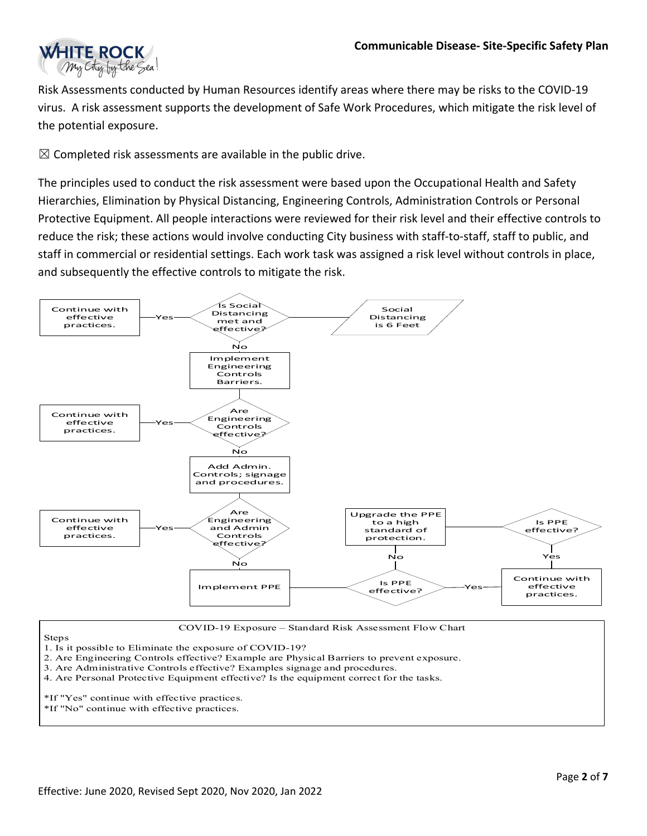

Risk Assessments conducted by Human Resources identify areas where there may be risks to the COVID-19 virus. A risk assessment supports the development of Safe Work Procedures, which mitigate the risk level of the potential exposure.

 $\boxtimes$  Completed risk assessments are available in the public drive.

The principles used to conduct the risk assessment were based upon the Occupational Health and Safety Hierarchies, Elimination by Physical Distancing, Engineering Controls, Administration Controls or Personal Protective Equipment. All people interactions were reviewed for their risk level and their effective controls to reduce the risk; these actions would involve conducting City business with staff-to-staff, staff to public, and staff in commercial or residential settings. Each work task was assigned a risk level without controls in place, and subsequently the effective controls to mitigate the risk.



COVID-19 Exposure – Standard Risk Assessment Flow Chart

Steps

1. Is it possible to Eliminate the exposure of COVID-19?

- 2. Are Engineering Controls effective? Example are Physical Barriers to prevent exposure.
- 3. Are Administrative Controls effective? Examples signage and procedures.
- 4. Are Personal Protective Equipment effective? Is the equipment correct for the tasks.
- \*If "Yes" continue with effective practices.
- \*If "No" continue with effective practices.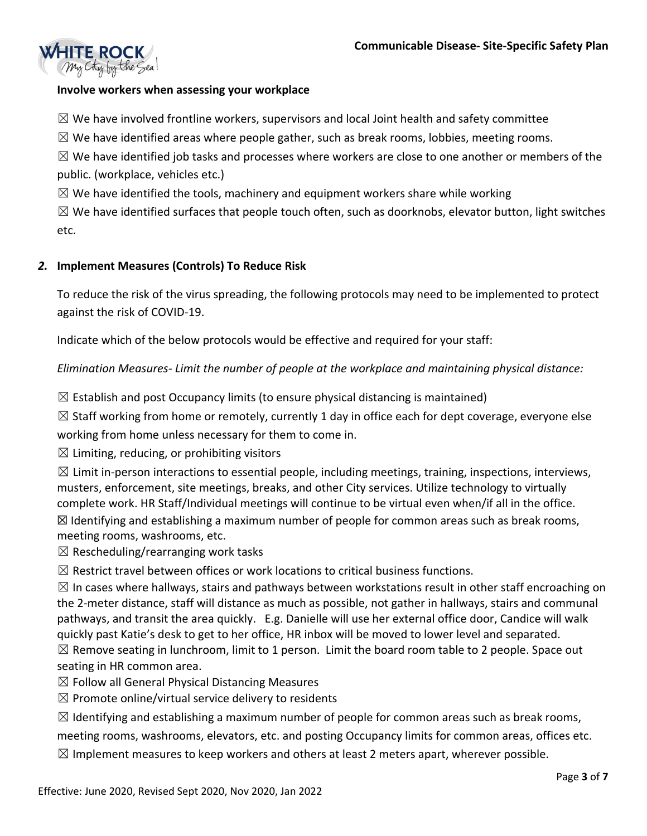

### **Involve workers when assessing your workplace**

 $\boxtimes$  We have involved frontline workers, supervisors and local Joint health and safety committee

 $\boxtimes$  We have identified areas where people gather, such as break rooms, lobbies, meeting rooms.

 $\boxtimes$  We have identified job tasks and processes where workers are close to one another or members of the public. (workplace, vehicles etc.)

 $\boxtimes$  We have identified the tools, machinery and equipment workers share while working

 $\boxtimes$  We have identified surfaces that people touch often, such as doorknobs, elevator button, light switches etc.

### *2.* **Implement Measures (Controls) To Reduce Risk**

To reduce the risk of the virus spreading, the following protocols may need to be implemented to protect against the risk of COVID-19.

Indicate which of the below protocols would be effective and required for your staff:

*Elimination Measures- Limit the number of people at the workplace and maintaining physical distance:* 

 $\boxtimes$  Establish and post Occupancy limits (to ensure physical distancing is maintained)

 $\boxtimes$  Staff working from home or remotely, currently 1 day in office each for dept coverage, everyone else

working from home unless necessary for them to come in.

 $\boxtimes$  Limiting, reducing, or prohibiting visitors

 $\boxtimes$  Limit in-person interactions to essential people, including meetings, training, inspections, interviews, musters, enforcement, site meetings, breaks, and other City services. Utilize technology to virtually complete work. HR Staff/Individual meetings will continue to be virtual even when/if all in the office.  $\boxtimes$  Identifying and establishing a maximum number of people for common areas such as break rooms, meeting rooms, washrooms, etc.

 $\boxtimes$  Rescheduling/rearranging work tasks

 $\boxtimes$  Restrict travel between offices or work locations to critical business functions.

 $\boxtimes$  In cases where hallways, stairs and pathways between workstations result in other staff encroaching on the 2-meter distance, staff will distance as much as possible, not gather in hallways, stairs and communal pathways, and transit the area quickly. E.g. Danielle will use her external office door, Candice will walk quickly past Katie's desk to get to her office, HR inbox will be moved to lower level and separated.  $\boxtimes$  Remove seating in lunchroom, limit to 1 person. Limit the board room table to 2 people. Space out seating in HR common area.

 $\boxtimes$  Follow all General Physical Distancing Measures

 $\boxtimes$  Promote online/virtual service delivery to residents

 $\boxtimes$  Identifying and establishing a maximum number of people for common areas such as break rooms, meeting rooms, washrooms, elevators, etc. and posting Occupancy limits for common areas, offices etc.

 $\boxtimes$  Implement measures to keep workers and others at least 2 meters apart, wherever possible.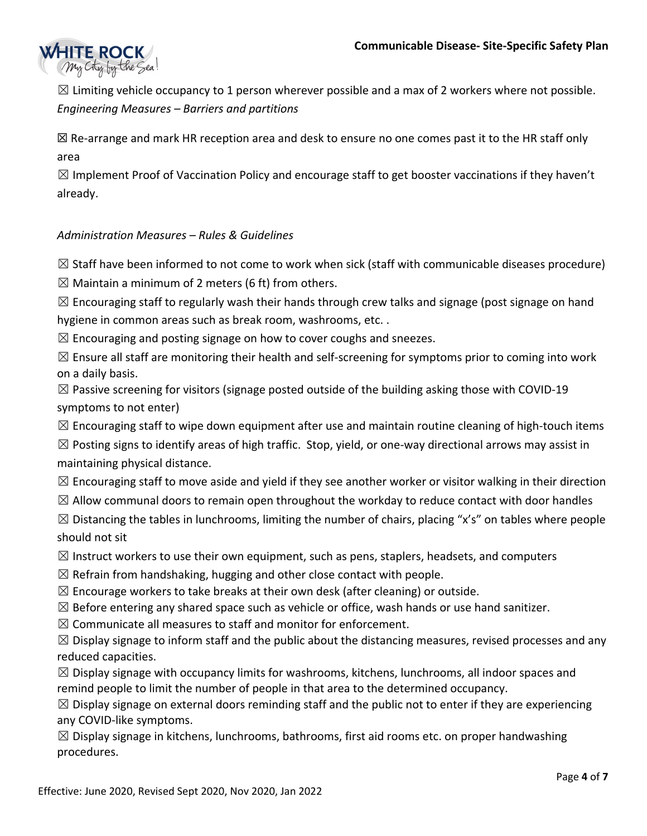

 $\boxtimes$  Limiting vehicle occupancy to 1 person wherever possible and a max of 2 workers where not possible. *Engineering Measures – Barriers and partitions* 

☒ Re-arrange and mark HR reception area and desk to ensure no one comes past it to the HR staff only area

 $\boxtimes$  Implement Proof of Vaccination Policy and encourage staff to get booster vaccinations if they haven't already.

## *Administration Measures – Rules & Guidelines*

 $\boxtimes$  Staff have been informed to not come to work when sick (staff with communicable diseases procedure)

 $\boxtimes$  Maintain a minimum of 2 meters (6 ft) from others.

 $\boxtimes$  Encouraging staff to regularly wash their hands through crew talks and signage (post signage on hand hygiene in common areas such as break room, washrooms, etc. .

 $\boxtimes$  Encouraging and posting signage on how to cover coughs and sneezes.

 $\boxtimes$  Ensure all staff are monitoring their health and self-screening for symptoms prior to coming into work on a daily basis.

 $\boxtimes$  Passive screening for visitors (signage posted outside of the building asking those with COVID-19 symptoms to not enter)

 $\boxtimes$  Encouraging staff to wipe down equipment after use and maintain routine cleaning of high-touch items

 $\boxtimes$  Posting signs to identify areas of high traffic. Stop, yield, or one-way directional arrows may assist in maintaining physical distance.

 $\boxtimes$  Encouraging staff to move aside and yield if they see another worker or visitor walking in their direction

 $\boxtimes$  Allow communal doors to remain open throughout the workday to reduce contact with door handles

 $\boxtimes$  Distancing the tables in lunchrooms, limiting the number of chairs, placing "x's" on tables where people should not sit

 $\boxtimes$  Instruct workers to use their own equipment, such as pens, staplers, headsets, and computers

 $\boxtimes$  Refrain from handshaking, hugging and other close contact with people.

 $\boxtimes$  Encourage workers to take breaks at their own desk (after cleaning) or outside.

 $\boxtimes$  Before entering any shared space such as vehicle or office, wash hands or use hand sanitizer.

 $\boxtimes$  Communicate all measures to staff and monitor for enforcement.

 $\boxtimes$  Display signage to inform staff and the public about the distancing measures, revised processes and any reduced capacities.

 $\boxtimes$  Display signage with occupancy limits for washrooms, kitchens, lunchrooms, all indoor spaces and remind people to limit the number of people in that area to the determined occupancy.

 $\boxtimes$  Display signage on external doors reminding staff and the public not to enter if they are experiencing any COVID-like symptoms.

 $\boxtimes$  Display signage in kitchens, lunchrooms, bathrooms, first aid rooms etc. on proper handwashing procedures.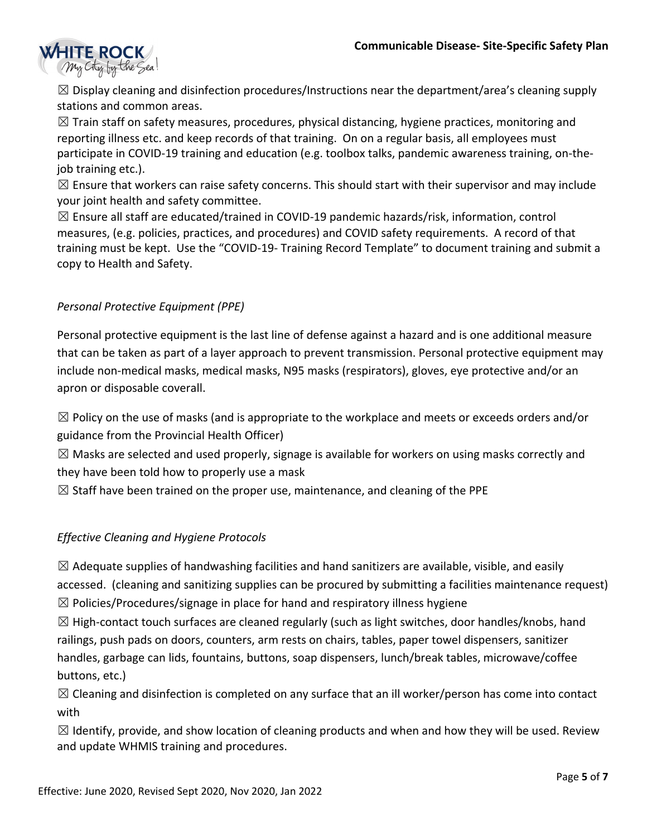

 $\boxtimes$  Display cleaning and disinfection procedures/Instructions near the department/area's cleaning supply stations and common areas.

 $\boxtimes$  Train staff on safety measures, procedures, physical distancing, hygiene practices, monitoring and reporting illness etc. and keep records of that training. On on a regular basis, all employees must participate in COVID-19 training and education (e.g. toolbox talks, pandemic awareness training, on-thejob training etc.).

 $\boxtimes$  Ensure that workers can raise safety concerns. This should start with their supervisor and may include your joint health and safety committee.

 $\boxtimes$  Ensure all staff are educated/trained in COVID-19 pandemic hazards/risk, information, control measures, (e.g. policies, practices, and procedures) and COVID safety requirements. A record of that training must be kept. Use the "COVID-19- Training Record Template" to document training and submit a copy to Health and Safety.

## *Personal Protective Equipment (PPE)*

Personal protective equipment is the last line of defense against a hazard and is one additional measure that can be taken as part of a layer approach to prevent transmission. Personal protective equipment may include non-medical masks, medical masks, N95 masks (respirators), gloves, eye protective and/or an apron or disposable coverall.

 $\boxtimes$  Policy on the use of masks (and is appropriate to the workplace and meets or exceeds orders and/or guidance from the Provincial Health Officer)

 $\boxtimes$  Masks are selected and used properly, signage is available for workers on using masks correctly and they have been told how to properly use a mask

 $\boxtimes$  Staff have been trained on the proper use, maintenance, and cleaning of the PPE

## *Effective Cleaning and Hygiene Protocols*

 $\boxtimes$  Adequate supplies of handwashing facilities and hand sanitizers are available, visible, and easily accessed. (cleaning and sanitizing supplies can be procured by submitting a facilities maintenance request)

 $\boxtimes$  Policies/Procedures/signage in place for hand and respiratory illness hygiene

 $\boxtimes$  High-contact touch surfaces are cleaned regularly (such as light switches, door handles/knobs, hand railings, push pads on doors, counters, arm rests on chairs, tables, paper towel dispensers, sanitizer handles, garbage can lids, fountains, buttons, soap dispensers, lunch/break tables, microwave/coffee buttons, etc.)

 $\boxtimes$  Cleaning and disinfection is completed on any surface that an ill worker/person has come into contact with

 $\boxtimes$  Identify, provide, and show location of cleaning products and when and how they will be used. Review and update WHMIS training and procedures.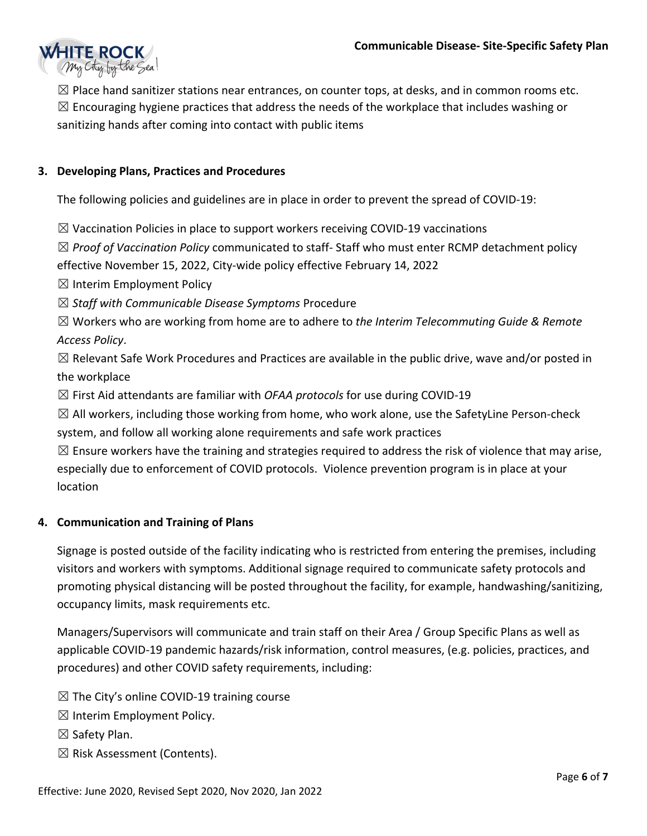

 $\boxtimes$  Place hand sanitizer stations near entrances, on counter tops, at desks, and in common rooms etc.  $\boxtimes$  Encouraging hygiene practices that address the needs of the workplace that includes washing or sanitizing hands after coming into contact with public items

## **3. Developing Plans, Practices and Procedures**

The following policies and guidelines are in place in order to prevent the spread of COVID-19:

 $\boxtimes$  Vaccination Policies in place to support workers receiving COVID-19 vaccinations

☒ *Proof of Vaccination Policy* communicated to staff- Staff who must enter RCMP detachment policy effective November 15, 2022, City-wide policy effective February 14, 2022

 $\boxtimes$  Interim Employment Policy

☒ *Staff with Communicable Disease Symptoms* Procedure

☒ Workers who are working from home are to adhere to *the Interim Telecommuting Guide & Remote Access Policy*.

 $\boxtimes$  Relevant Safe Work Procedures and Practices are available in the public drive, wave and/or posted in the workplace

☒ First Aid attendants are familiar with *OFAA protocols* for use during COVID-19

 $\boxtimes$  All workers, including those working from home, who work alone, use the SafetyLine Person-check system, and follow all working alone requirements and safe work practices

 $\boxtimes$  Ensure workers have the training and strategies required to address the risk of violence that may arise, especially due to enforcement of COVID protocols. Violence prevention program is in place at your location

### **4. Communication and Training of Plans**

Signage is posted outside of the facility indicating who is restricted from entering the premises, including visitors and workers with symptoms. Additional signage required to communicate safety protocols and promoting physical distancing will be posted throughout the facility, for example, handwashing/sanitizing, occupancy limits, mask requirements etc.

Managers/Supervisors will communicate and train staff on their Area / Group Specific Plans as well as applicable COVID-19 pandemic hazards/risk information, control measures, (e.g. policies, practices, and procedures) and other COVID safety requirements, including:

 $\boxtimes$  The City's online COVID-19 training course

 $\boxtimes$  Interim Employment Policy.

☒ Safety Plan.

☒ Risk Assessment (Contents).